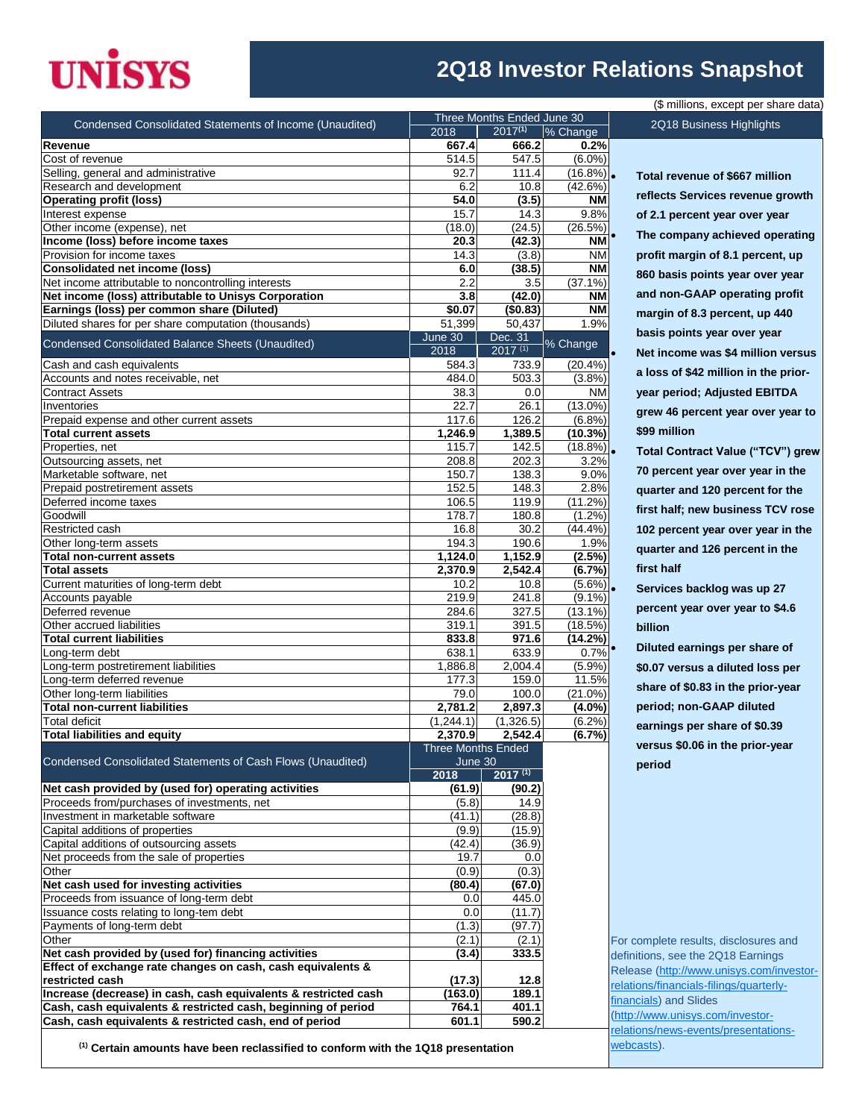# **UNISYS**

### **2Q18 Investor Relations Snapshot**

|                                                                 |                                      | Three Months Ended June 30 |            |
|-----------------------------------------------------------------|--------------------------------------|----------------------------|------------|
| Condensed Consolidated Statements of Income (Unaudited)         | 2018                                 | $2017^{(1)}$               | % Change   |
| Revenue                                                         | 667.4                                | 666.2                      | 0.2%       |
| Cost of revenue                                                 | 514.5                                | 547.5                      | $(6.0\%)$  |
| Selling, general and administrative                             | 92.7                                 | 111.4                      | $(16.8\%)$ |
| Research and development                                        | 6.2                                  | 10.8                       | (42.6%)    |
| <b>Operating profit (loss)</b>                                  | 54.0                                 | (3.5)                      | <b>NM</b>  |
| Interest expense                                                | 15.7                                 | 14.3                       | 9.8%       |
| Other income (expense), net                                     | (18.0)                               | (24.5)                     | (26.5%)    |
| Income (loss) before income taxes                               | 20.3                                 | (42.3)                     | <b>NM</b>  |
| Provision for income taxes                                      | 14.3                                 | (3.8)                      | <b>NM</b>  |
| <b>Consolidated net income (loss)</b>                           | 6.0                                  | (38.5)                     | <b>NM</b>  |
| Net income attributable to noncontrolling interests             | 2.2                                  | 3.5                        | $(37.1\%)$ |
| Net income (loss) attributable to Unisys Corporation            | 3.8                                  | (42.0)                     | <b>NM</b>  |
| Earnings (loss) per common share (Diluted)                      | \$0.07                               | (\$0.83)                   | <b>NM</b>  |
| Diluted shares for per share computation (thousands)            | 51,399                               | 50,437                     | 1.9%       |
| <b>Condensed Consolidated Balance Sheets (Unaudited)</b>        | June 30<br>2018                      | Dec. 31<br>$2017^{(1)}$    | % Change   |
| Cash and cash equivalents                                       | 584.3                                | 733.9                      | $(20.4\%)$ |
| Accounts and notes receivable, net                              | 484.0                                | 503.3                      | $(3.8\%)$  |
| <b>Contract Assets</b>                                          | 38.3                                 | 0.0                        | <b>NM</b>  |
| Inventories                                                     | 22.7                                 | 26.1                       | $(13.0\%)$ |
| Prepaid expense and other current assets                        | 117.6                                | 126.2                      | (6.8%)     |
| <b>Total current assets</b>                                     | $\overline{1,}246.9$                 | 1,389.5                    | (10.3%)    |
| Properties, net                                                 | 115.7                                | 142.5                      | $(18.8\%)$ |
| Outsourcing assets, net                                         | 208.8                                | 202.3                      | 3.2%       |
| Marketable software, net                                        | 150.7                                | 138.3                      | 9.0%       |
| Prepaid postretirement assets                                   | 152.5                                | 148.3                      | 2.8%       |
| Deferred income taxes                                           | 106.5                                | 119.9                      | (11.2%)    |
| Goodwill                                                        | 178.7                                | 180.8                      | $(1.2\%)$  |
| Restricted cash                                                 | 16.8                                 | 30.2                       | (44.4%     |
| Other long-term assets                                          | 194.3                                | 190.6                      | 1.9%       |
| <b>Total non-current assets</b>                                 | 1,124.0                              | 1,152.9                    | (2.5%)     |
| <b>Total assets</b>                                             | 2,370.9                              | 2,542.4                    | (6.7%)     |
| Current maturities of long-term debt                            | 10.2                                 | 10.8                       | $(5.6\%)$  |
| Accounts payable                                                | 219.9                                | 241.8                      | $(9.1\%)$  |
| Deferred revenue                                                | 284.6                                | 327.5                      | $(13.1\%)$ |
| Other accrued liabilities                                       | 319.1                                | 391.5                      | (18.5%)    |
| <b>Total current liabilities</b>                                | 833.8                                | 971.6                      | (14.2%)    |
| Long-term debt                                                  | 638.1                                | 633.9                      | 0.7%       |
| Long-term postretirement liabilities                            | 1,886.8                              | 2,004.4                    | (5.9%)     |
| Long-term deferred revenue                                      | 177.3                                | 159.0                      | 11.5%      |
| Other long-term liabilities                                     | 79.0                                 | 100.0                      | $(21.0\%)$ |
| <b>Total non-current liabilities</b>                            | 2,781.2                              | 2,897.3                    | $(4.0\%)$  |
| Total deficit                                                   | (1,244.1)                            | (1,326.5)                  | (6.2%)     |
| <b>Total liabilities and equity</b>                             | 2,370.9<br><b>Three Months Ended</b> | 2,542.4                    | (6.7%)     |
| Condensed Consolidated Statements of Cash Flows (Unaudited)     | June 30                              |                            |            |
|                                                                 | 2018                                 | $2017^{(1)}$               |            |
| Net cash provided by (used for) operating activities            | (61.9)                               | (90.2)                     |            |
| Proceeds from/purchases of investments, net                     | (5.8)                                | 14.9                       |            |
| Investment in marketable software                               | (41.1)                               | (28.8)                     |            |
| Capital additions of properties                                 | (9.9)                                | (15.9)                     |            |
| Capital additions of outsourcing assets                         | (42.4)                               | (36.9)                     |            |
| Net proceeds from the sale of properties                        | 19.7                                 | 0.0                        |            |
| Other                                                           | (0.9)                                | (0.3)                      |            |
| Net cash used for investing activities                          | (80.4)                               | (67.0)                     |            |
| Proceeds from issuance of long-term debt                        | 0.0                                  | 445.0                      |            |
| Issuance costs relating to long-tem debt                        | 0.0                                  | (11.7)                     |            |
| Payments of long-term debt                                      | (1.3)                                | (97.7)                     |            |
| Other                                                           | (2.1)                                | (2.1)                      |            |
| Net cash provided by (used for) financing activities            | (3.4)                                | 333.5                      |            |
| Effect of exchange rate changes on cash, cash equivalents &     |                                      |                            |            |
| restricted cash                                                 | (17.3)                               | 12.8                       |            |
| Increase (decrease) in cash, cash equivalents & restricted cash | (163.0)                              | 189.1                      |            |
| Cash, cash equivalents & restricted cash, beginning of period   | 764.1                                | 401.1                      |            |
| Cash, cash equivalents & restricted cash, end of period         | 601.1                                | 590.2                      |            |

**(1) Certain amounts have been reclassified to conform with the 1Q18 presentation**

 **Total revenue of \$667 million reflects Services revenue growth of 2.1 percent year over year The company achieved operating profit margin of 8.1 percent, up 860 basis points year over year and non-GAAP operating profit margin of 8.3 percent, up 440** 

(\$ millions, except per share data)

2Q18 Business Highlights

**basis points year over year Net income was \$4 million versus a loss of \$42 million in the prioryear period; Adjusted EBITDA grew 46 percent year over year to \$99 million**

 **Total Contract Value ("TCV") grew 70 percent year over year in the quarter and 120 percent for the first half; new business TCV rose 102 percent year over year in the quarter and 126 percent in the first half**

 **Services backlog was up 27 percent year over year to \$4.6 billion**

 **Diluted earnings per share of \$0.07 versus a diluted loss per share of \$0.83 in the prior-year period; non-GAAP diluted earnings per share of \$0.39 versus \$0.06 in the prior-year period** 

For complete results, disclosures and definitions, see the 2Q18 Earnings Release [\(http://www.unisys.com/investor](http://www.unisys.com/investor-relations/financials-filings/quarterly-financials)[relations/financials-filings/quarterly](http://www.unisys.com/investor-relations/financials-filings/quarterly-financials)[financials\)](http://www.unisys.com/investor-relations/financials-filings/quarterly-financials) and Slides [\(http://www.unisys.com/investor](http://www.unisys.com/investor-relations/news-events/presentations-webcasts)[relations/news-events/presentations](http://www.unisys.com/investor-relations/news-events/presentations-webcasts)[webcasts\)](http://www.unisys.com/investor-relations/news-events/presentations-webcasts).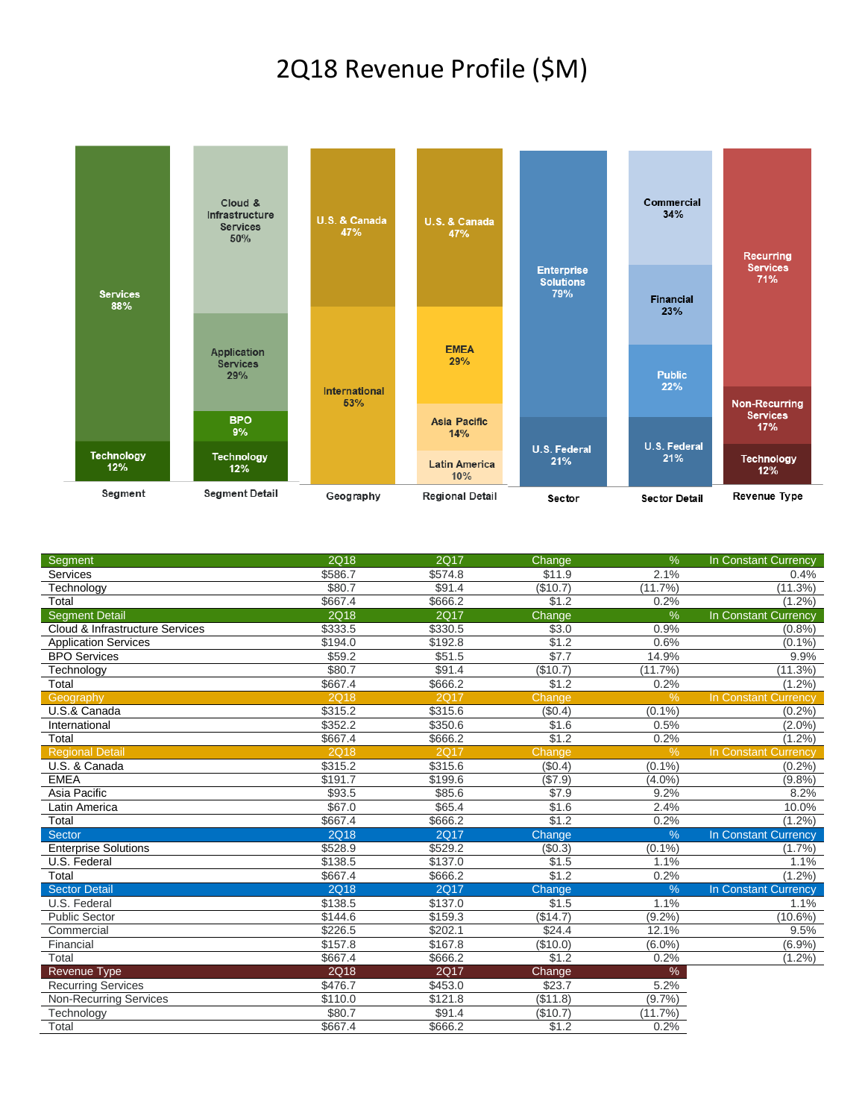## 2Q18 Revenue Profile (\$M)



| <b>Segment</b>                  | 2Q18        | <b>2Q17</b> | Change          | $\frac{9}{6}$ | In Constant Currency        |
|---------------------------------|-------------|-------------|-----------------|---------------|-----------------------------|
| Services                        | \$586.7     | \$574.8     | \$11.9          | 2.1%          | 0.4%                        |
| Technology                      | \$80.7      | \$91.4      | (\$10.7)        | (11.7%)       | (11.3%)                     |
| Total                           | \$667.4     | \$666.2     | \$1.2           | 0.2%          | $(1.2\%)$                   |
| <b>Segment Detail</b>           | 2Q18        | <b>2Q17</b> | Change          | %             | In Constant Currency        |
| Cloud & Infrastructure Services | \$333.5     | \$330.5     | \$3.0           | 0.9%          | (0.8%                       |
| <b>Application Services</b>     | \$194.0     | \$192.8     | \$1.2           | 0.6%          | $(0.1\%)$                   |
| <b>BPO Services</b>             | \$59.2      | \$51.5      | $\sqrt{$7.7}$   | 14.9%         | 9.9%                        |
| Technology                      | \$80.7      | \$91.4      | (\$10.7)        | (11.7%        | (11.3%)                     |
| Total                           | \$667.4     | \$666.2     | \$1.2           | 0.2%          | $(1.2\%)$                   |
| Geography                       | 2Q18        | <b>2Q17</b> | Change          | $\frac{9}{6}$ | <b>In Constant Currency</b> |
| U.S.& Canada                    | \$315.2     | \$315.6     | $(\sqrt{$0.4})$ | $(0.1\%)$     | (0.2%                       |
| International                   | \$352.2     | \$350.6     | \$1.6           | 0.5%          | $(2.0\%)$                   |
| Total                           | \$667.4     | \$666.2     | \$1.2           | 0.2%          | $(1.2\%)$                   |
| <b>Regional Detail</b>          | <b>2Q18</b> | <b>2Q17</b> | Change          | $\frac{9}{6}$ | In Constant Currency        |
| U.S. & Canada                   | \$315.2     | \$315.6     | (\$0.4)         | (0.1%         | (0.2%                       |
| <b>EMEA</b>                     | \$191.7     | \$199.6     | (\$7.9)         | (4.0%         | (9.8%                       |
| Asia Pacific                    | \$93.5      | \$85.6      | \$7.9           | 9.2%          | 8.2%                        |
| Latin America                   | \$67.0      | \$65.4      | \$1.6           | 2.4%          | 10.0%                       |
| Total                           | \$667.4     | \$666.2     | \$1.2           | 0.2%          | $(1.2\%)$                   |
| <b>Sector</b>                   | <b>2Q18</b> | <b>2Q17</b> | Change          | $\frac{0}{6}$ | In Constant Currency        |
| <b>Enterprise Solutions</b>     | \$528.9     | \$529.2     | (\$0.3)         | $(0.1\%)$     | (1.7%                       |
| U.S. Federal                    | \$138.5     | \$137.0     | \$1.5           | 1.1%          | 1.1%                        |
| Total                           | \$667.4     | \$666.2     | \$1.2           | 0.2%          | $(1.2\%)$                   |
| <b>Sector Detail</b>            | <b>2Q18</b> | <b>2Q17</b> | Change          | $\frac{0}{0}$ | In Constant Currency        |
| U.S. Federal                    | \$138.5     | \$137.0     | \$1.5           | 1.1%          | 1.1%                        |
| <b>Public Sector</b>            | \$144.6     | \$159.3     | (\$14.7)        | $(9.2\%)$     | $(10.6\%)$                  |
| Commercial                      | \$226.5     | \$202.1     | \$24.4          | 12.1%         | 9.5%                        |
| Financial                       | \$157.8     | \$167.8     | (\$10.0)        | $(6.0\%)$     | (6.9%)                      |
| Total                           | \$667.4     | \$666.2     | \$1.2           | 0.2%          | $(1.2\%)$                   |
| <b>Revenue Type</b>             | 2Q18        | <b>2Q17</b> | Change          | $\%$          |                             |
| <b>Recurring Services</b>       | \$476.7     | \$453.0     | \$23.7          | 5.2%          |                             |
| <b>Non-Recurring Services</b>   | \$110.0     | \$121.8     | (\$11.8)        | (9.7%         |                             |
| Technology                      | \$80.7      | \$91.4      | (\$10.7)        | (11.7%        |                             |
| Total                           | \$667.4     | \$666.2     | \$1.2           | 0.2%          |                             |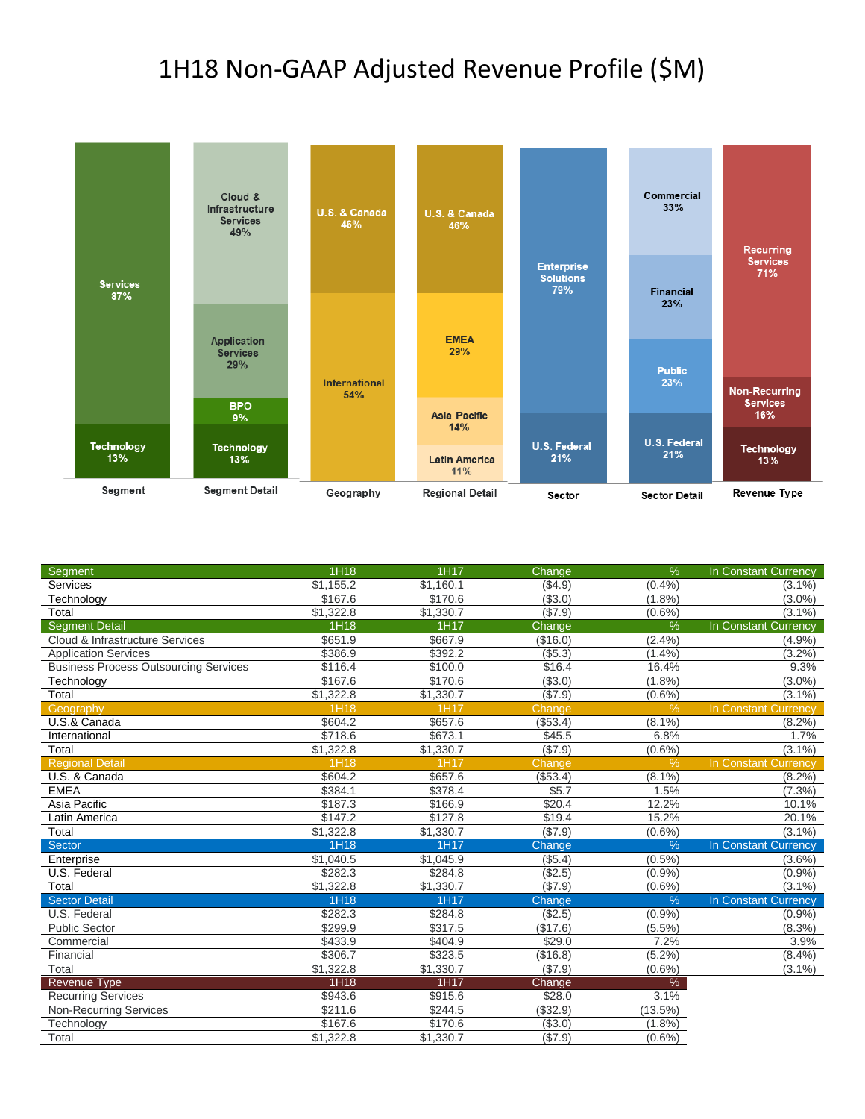## 1H18 Non-GAAP Adjusted Revenue Profile (\$M)



| Segment                                      | 1H18      | 1H17      | Change   | $\frac{9}{6}$ | In Constant Currency |
|----------------------------------------------|-----------|-----------|----------|---------------|----------------------|
| Services                                     | \$1,155.2 | \$1,160.1 | ( \$4.9) | (0.4%         | $(3.1\%)$            |
| Technology                                   | \$167.6   | \$170.6   | ( \$3.0) | (1.8%)        | $(3.0\%)$            |
| Total                                        | \$1,322.8 | \$1,330.7 | (\$7.9)  | $(0.6\%)$     | $(3.1\%)$            |
| <b>Segment Detail</b>                        | 1H18      | 1H17      | Change   | $\frac{0}{0}$ | In Constant Currency |
| Cloud & Infrastructure Services              | \$651.9   | \$667.9   | (\$16.0) | (2.4%         | (4.9%                |
| <b>Application Services</b>                  | \$386.9   | \$392.2   | ( \$5.3) | (1.4%         | (3.2%)               |
| <b>Business Process Outsourcing Services</b> | \$116.4   | \$100.0   | \$16.4   | 16.4%         | 9.3%                 |
| Technology                                   | \$167.6   | \$170.6   | ( \$3.0) | (1.8%)        | $(3.0\%)$            |
| Total                                        | \$1,322.8 | \$1,330.7 | (\$7.9)  | $(0.6\%)$     | $(3.1\%)$            |
| Geography                                    | 1H18      | 1H17      | Change   | $\frac{9}{6}$ | In Constant Currency |
| U.S.& Canada                                 | \$604.2   | \$657.6   | (\$53.4) | $(8.1\%)$     | $(8.2\%)$            |
| International                                | \$718.6   | \$673.1   | \$45.5   | 6.8%          | 1.7%                 |
| Total                                        | \$1,322.8 | \$1,330.7 | (\$7.9)  | $(0.6\%)$     | $(3.1\%)$            |
| <b>Regional Detail</b>                       | 1H18      | 1H17      | Change   | $\frac{0}{6}$ | In Constant Currency |
| U.S. & Canada                                | \$604.2   | \$657.6   | (\$53.4) | $(8.1\%)$     | $(8.2\%)$            |
| <b>EMEA</b>                                  | \$384.1   | \$378.4   | \$5.7    | 1.5%          | $(7.3\%)$            |
| Asia Pacific                                 | \$187.3   | \$166.9   | \$20.4   | 12.2%         | 10.1%                |
| Latin America                                | \$147.2   | \$127.8   | \$19.4   | 15.2%         | $20.1\%$             |
| Total                                        | \$1,322.8 | \$1,330.7 | (\$7.9)  | $(0.6\%)$     | $(3.1\%)$            |
| Sector                                       | 1H18      | 1H17      | Change   | $\frac{9}{6}$ | In Constant Currency |
| Enterprise                                   | \$1,040.5 | \$1,045.9 | (\$5.4)  | $(0.5\%)$     | $(3.6\%)$            |
| U.S. Federal                                 | \$282.3   | \$284.8   | (\$2.5)  | (0.9%         | (0.9%                |
| Total                                        | \$1,322.8 | \$1,330.7 | ( \$7.9) | $(0.6\%)$     | $(3.1\%)$            |
| <b>Sector Detail</b>                         | 1H18      | 1H17      | Change   | $\frac{0}{6}$ | In Constant Currency |
| U.S. Federal                                 | \$282.3   | \$284.8   | (\$2.5)  | (0.9%         | (0.9%                |
| <b>Public Sector</b>                         | \$299.9   | \$317.5   | (\$17.6) | $(5.5\%)$     | $(8.3\%)$            |
| Commercial                                   | \$433.9   | \$404.9   | \$29.0   | 7.2%          | 3.9%                 |
| Financial                                    | \$306.7   | \$323.5   | (\$16.8) | $(5.2\%)$     | $(8.4\%)$            |
| Total                                        | \$1,322.8 | \$1,330.7 | (\$7.9)  | $(0.6\%)$     | $(3.1\%)$            |
| <b>Revenue Type</b>                          | 1H18      | 1H17      | Change   | $\%$          |                      |
| <b>Recurring Services</b>                    | \$943.6   | \$915.6   | \$28.0   | 3.1%          |                      |
| <b>Non-Recurring Services</b>                | \$211.6   | \$244.5   | (\$32.9) | (13.5%)       |                      |
| Technology                                   | \$167.6   | \$170.6   | (\$3.0)  | $(1.8\%)$     |                      |
| Total                                        | \$1,322.8 | \$1,330.7 | (\$7.9)  | $(0.6\%)$     |                      |